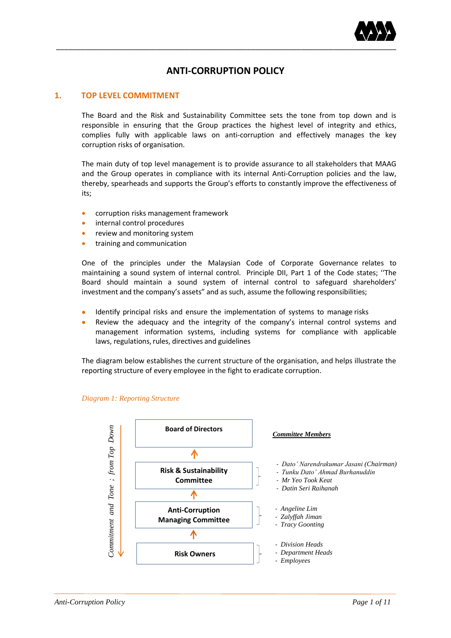

# **ANTI-CORRUPTION POLICY**

# **1. TOP LEVEL COMMITMENT**

The Board and the Risk and Sustainability Committee sets the tone from top down and is responsible in ensuring that the Group practices the highest level of integrity and ethics, complies fully with applicable laws on anti-corruption and effectively manages the key corruption risks of organisation.

The main duty of top level management is to provide assurance to all stakeholders that MAAG and the Group operates in compliance with its internal Anti-Corruption policies and the law, thereby, spearheads and supports the Group's efforts to constantly improve the effectiveness of its;

- corruption risks management framework
- internal control procedures
- review and monitoring system
- training and communication

One of the principles under the Malaysian Code of Corporate Governance relates to maintaining a sound system of internal control. Principle DII, Part 1 of the Code states; ''The Board should maintain a sound system of internal control to safeguard shareholders' investment and the company's assets" and as such, assume the following responsibilities;

- Identify principal risks and ensure the implementation of systems to manage risks
- Review the adequacy and the integrity of the company's internal control systems and management information systems, including systems for compliance with applicable laws, regulations, rules, directives and guidelines

The diagram below establishes the current structure of the organisation, and helps illustrate the reporting structure of every employee in the fight to eradicate corruption.



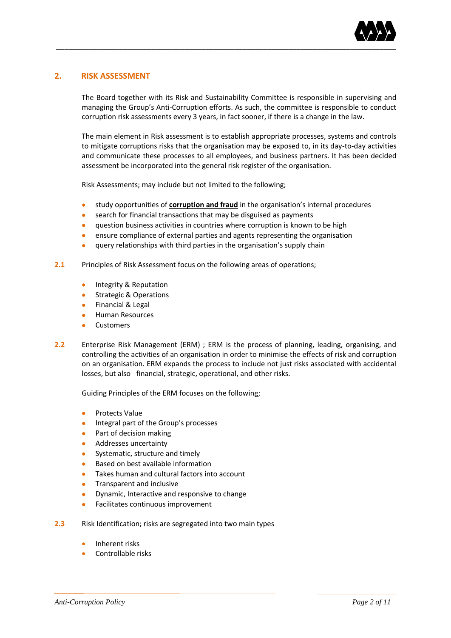

# **2. RISK ASSESSMENT**

The Board together with its Risk and Sustainability Committee is responsible in supervising and managing the Group's Anti-Corruption efforts. As such, the committee is responsible to conduct corruption risk assessments every 3 years, in fact sooner, if there is a change in the law.

The main element in Risk assessment is to establish appropriate processes, systems and controls to mitigate corruptions risks that the organisation may be exposed to, in its day-to-day activities and communicate these processes to all employees, and business partners. It has been decided assessment be incorporated into the general risk register of the organisation.

Risk Assessments; may include but not limited to the following;

- study opportunities of **corruption and fraud** in the organisation's internal procedures
- search for financial transactions that may be disguised as payments
- question business activities in countries where corruption is known to be high
- ensure compliance of external parties and agents representing the organisation
- query relationships with third parties in the organisation's supply chain
- **2.1** Principles of Risk Assessment focus on the following areas of operations;
	- Integrity & Reputation
	- **Strategic & Operations**
	- Financial & Legal
	- Human Resources
	- Customers
- **2.2** Enterprise Risk Management (ERM) ; ERM is the process of planning, leading, organising, and controlling the activities of an organisation in order to minimise the effects of risk and corruption on an organisation. ERM expands the process to include not just risks associated with accidental losses, but also financial, strategic, operational, and other risks.

Guiding Principles of the ERM focuses on the following;

- Protects Value
- Integral part of the Group's processes
- Part of decision making
- **Addresses uncertainty**
- Systematic, structure and timely
- Based on best available information
- Takes human and cultural factors into account
- Transparent and inclusive
- Dynamic, Interactive and responsive to change
- Facilitates continuous improvement
- **2.3** Risk Identification; risks are segregated into two main types
	- Inherent risks
	- Controllable risks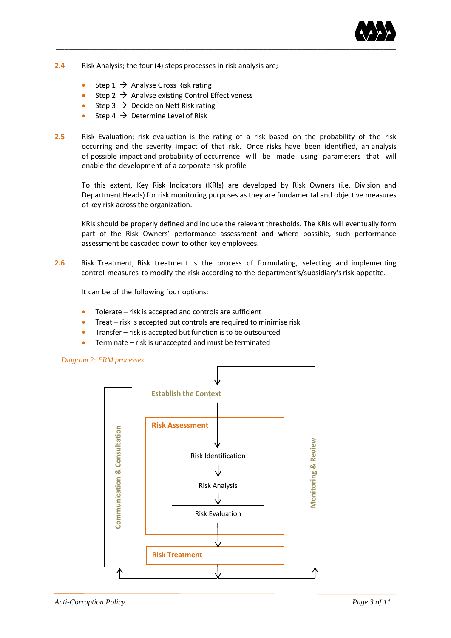

- **2.4** Risk Analysis; the four (4) steps processes in risk analysis are;
	- Step  $1 \rightarrow$  Analyse Gross Risk rating
	- Step 2  $\rightarrow$  Analyse existing Control Effectiveness
	- Step 3  $\rightarrow$  Decide on Nett Risk rating
	- Step 4  $\rightarrow$  Determine Level of Risk
- **2.5** Risk Evaluation; risk evaluation is the rating of a risk based on the probability of the risk occurring and the severity impact of that risk. Once risks have been identified, an analysis of possible impact and probability of occurrence will be made using parameters that will enable the development of a corporate risk profile

To this extent, Key Risk Indicators (KRIs) are developed by Risk Owners (i.e. Division and Department Heads) for risk monitoring purposes as they are fundamental and objective measures of key risk across the organization.

KRIs should be properly defined and include the relevant thresholds. The KRIs will eventually form part of the Risk Owners' performance assessment and where possible, such performance assessment be cascaded down to other key employees.

**2.6** Risk Treatment; Risk treatment is the process of formulating, selecting and implementing control measures to modify the risk according to the department's/subsidiary's risk appetite.

It can be of the following four options:

- $\bullet$  Tolerate risk is accepted and controls are sufficient
- Treat risk is accepted but controls are required to minimise risk
- Transfer risk is accepted but function is to be outsourced
- **•** Terminate risk is unaccepted and must be terminated

# *Diagram 2: ERM processes*

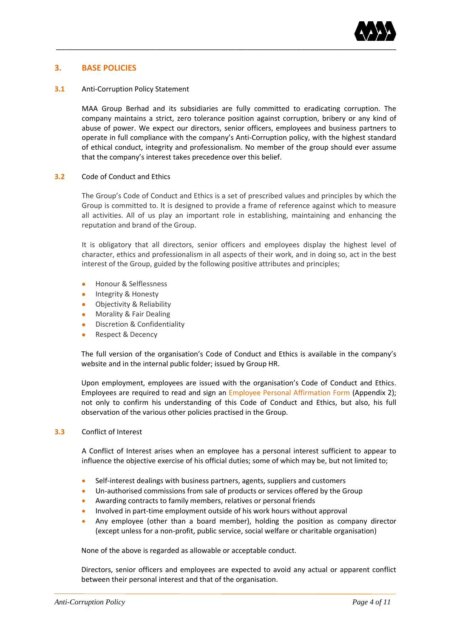

# **3. BASE POLICIES**

#### **3.1** Anti-Corruption Policy Statement

MAA Group Berhad and its subsidiaries are fully committed to eradicating corruption. The company maintains a strict, zero tolerance position against corruption, bribery or any kind of abuse of power. We expect our directors, senior officers, employees and business partners to operate in full compliance with the company's Anti-Corruption policy, with the highest standard of ethical conduct, integrity and professionalism. No member of the group should ever assume that the company's interest takes precedence over this belief.

## **3.2** Code of Conduct and Ethics

The Group's Code of Conduct and Ethics is a set of prescribed values and principles by which the Group is committed to. It is designed to provide a frame of reference against which to measure all activities. All of us play an important role in establishing, maintaining and enhancing the reputation and brand of the Group.

It is obligatory that all directors, senior officers and employees display the highest level of character, ethics and professionalism in all aspects of their work, and in doing so, act in the best interest of the Group, guided by the following positive attributes and principles;

- Honour & Selflessness
- Integrity & Honesty
- Objectivity & Reliability
- Morality & Fair Dealing
- Discretion & Confidentiality
- Respect & Decency

The full version of the organisation's Code of Conduct and Ethics is available in the company's website and in the internal public folder; issued by Group HR.

Upon employment, employees are issued with the organisation's Code of Conduct and Ethics. Employees are required to read and sign an Employee Personal Affirmation Form (Appendix 2); not only to confirm his understanding of this Code of Conduct and Ethics, but also, his full observation of the various other policies practised in the Group.

#### **3.3** Conflict of Interest

A Conflict of Interest arises when an employee has a personal interest sufficient to appear to influence the objective exercise of his official duties; some of which may be, but not limited to;

- Self-interest dealings with business partners, agents, suppliers and customers
- Un-authorised commissions from sale of products or services offered by the Group
- Awarding contracts to family members, relatives or personal friends
- Involved in part-time employment outside of his work hours without approval
- Any employee (other than a board member), holding the position as company director (except unless for a non-profit, public service, social welfare or charitable organisation)

None of the above is regarded as allowable or acceptable conduct.

Directors, senior officers and employees are expected to avoid any actual or apparent conflict between their personal interest and that of the organisation.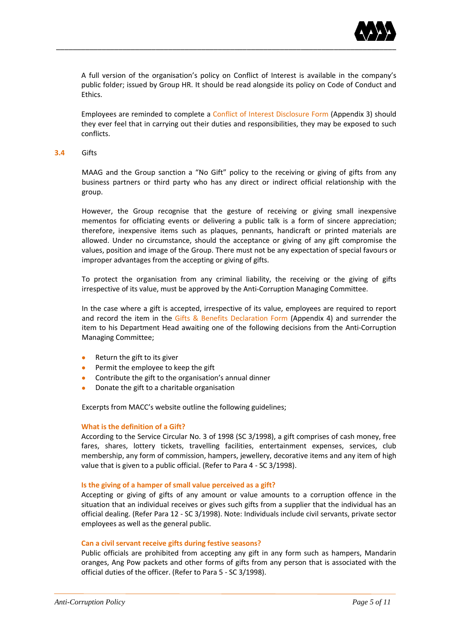

A full version of the organisation's policy on Conflict of Interest is available in the company's public folder; issued by Group HR. It should be read alongside its policy on Code of Conduct and Ethics.

Employees are reminded to complete a Conflict of Interest Disclosure Form (Appendix 3) should they ever feel that in carrying out their duties and responsibilities, they may be exposed to such conflicts.

#### **3.4** Gifts

MAAG and the Group sanction a "No Gift" policy to the receiving or giving of gifts from any business partners or third party who has any direct or indirect official relationship with the group.

However, the Group recognise that the gesture of receiving or giving small inexpensive mementos for officiating events or delivering a public talk is a form of sincere appreciation; therefore, inexpensive items such as plaques, pennants, handicraft or printed materials are allowed. Under no circumstance, should the acceptance or giving of any gift compromise the values, position and image of the Group. There must not be any expectation of special favours or improper advantages from the accepting or giving of gifts.

To protect the organisation from any criminal liability, the receiving or the giving of gifts irrespective of its value, must be approved by the Anti-Corruption Managing Committee.

In the case where a gift is accepted, irrespective of its value, employees are required to report and record the item in the Gifts & Benefits Declaration Form (Appendix 4) and surrender the item to his Department Head awaiting one of the following decisions from the Anti-Corruption Managing Committee;

- Return the gift to its giver
- Permit the employee to keep the gift
- Contribute the gift to the organisation's annual dinner
- Donate the gift to a charitable organisation

Excerpts from MACC's website outline the following guidelines;

#### **What is the definition of a Gift?**

According to the Service Circular No. 3 of 1998 (SC 3/1998), a gift comprises of cash money, free fares, shares, lottery tickets, travelling facilities, entertainment expenses, services, club membership, any form of commission, hampers, jewellery, decorative items and any item of high value that is given to a public official. (Refer to Para 4 - SC 3/1998).

#### **Is the giving of a hamper of small value perceived as a gift?**

Accepting or giving of gifts of any amount or value amounts to a corruption offence in the situation that an individual receives or gives such gifts from a supplier that the individual has an official dealing. (Refer Para 12 - SC 3/1998). Note: Individuals include civil servants, private sector employees as well as the general public.

#### **Can a civil servant receive gifts during festive seasons?**

Public officials are prohibited from accepting any gift in any form such as hampers, Mandarin oranges, Ang Pow packets and other forms of gifts from any person that is associated with the official duties of the officer. (Refer to Para 5 - SC 3/1998).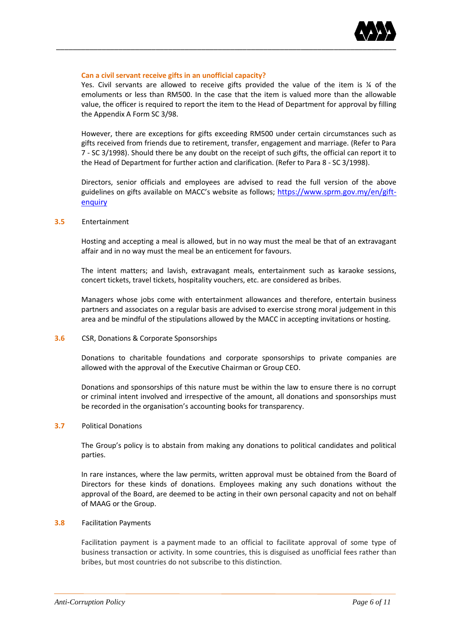

#### **Can a civil servant receive gifts in an unofficial capacity?**

Yes. Civil servants are allowed to receive gifts provided the value of the item is % of the emoluments or less than RM500. In the case that the item is valued more than the allowable value, the officer is required to report the item to the Head of Department for approval by filling the Appendix A Form SC 3/98.

However, there are exceptions for gifts exceeding RM500 under certain circumstances such as gifts received from friends due to retirement, transfer, engagement and marriage. (Refer to Para 7 - SC 3/1998). Should there be any doubt on the receipt of such gifts, the official can report it to the Head of Department for further action and clarification. (Refer to Para 8 - SC 3/1998).

Directors, senior officials and employees are advised to read the full version of the above guidelines on gifts available on MACC's website as follows; [https://www.sprm.gov.my/en/gift](https://www.sprm.gov.my/en/gift-enquiry)[enquiry](https://www.sprm.gov.my/en/gift-enquiry)

## **3.5** Entertainment

Hosting and accepting a meal is allowed, but in no way must the meal be that of an extravagant affair and in no way must the meal be an enticement for favours.

The intent matters; and lavish, extravagant meals, entertainment such as karaoke sessions, concert tickets, travel tickets, hospitality vouchers, etc. are considered as bribes.

Managers whose jobs come with entertainment allowances and therefore, entertain business partners and associates on a regular basis are advised to exercise strong moral judgement in this area and be mindful of the stipulations allowed by the MACC in accepting invitations or hosting.

#### **3.6** CSR, Donations & Corporate Sponsorships

Donations to charitable foundations and corporate sponsorships to private companies are allowed with the approval of the Executive Chairman or Group CEO.

Donations and sponsorships of this nature must be within the law to ensure there is no corrupt or criminal intent involved and irrespective of the amount, all donations and sponsorships must be recorded in the organisation's accounting books for transparency.

#### **3.7** Political Donations

The Group's policy is to abstain from making any donations to political candidates and political parties.

In rare instances, where the law permits, written approval must be obtained from the Board of Directors for these kinds of donations. Employees making any such donations without the approval of the Board, are deemed to be acting in their own personal capacity and not on behalf of MAAG or the Group.

#### **3.8** Facilitation Payments

Facilitation payment is a payment made to an official to facilitate approval of some type of business transaction or activity. In some countries, this is disguised as unofficial fees rather than bribes, but most countries do not subscribe to this distinction.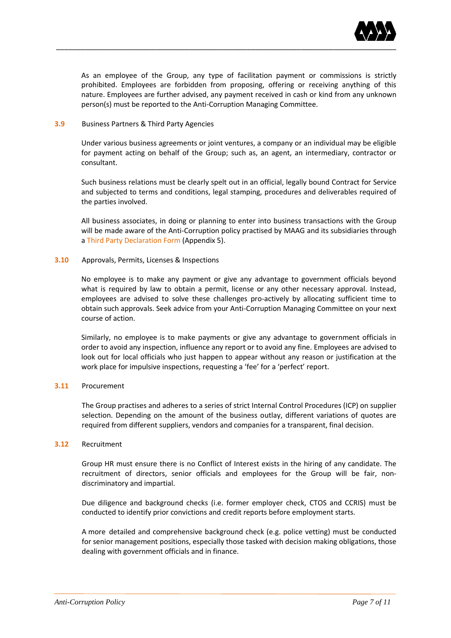

As an employee of the Group, any type of facilitation payment or commissions is strictly prohibited. Employees are forbidden from proposing, offering or receiving anything of this nature. Employees are further advised, any payment received in cash or kind from any unknown person(s) must be reported to the Anti-Corruption Managing Committee.

## **3.9** Business Partners & Third Party Agencies

Under various business agreements or joint ventures, a company or an individual may be eligible for payment acting on behalf of the Group; such as, an agent, an intermediary, contractor or consultant.

Such business relations must be clearly spelt out in an official, legally bound Contract for Service and subjected to terms and conditions, legal stamping, procedures and deliverables required of the parties involved.

All business associates, in doing or planning to enter into business transactions with the Group will be made aware of the Anti-Corruption policy practised by MAAG and its subsidiaries through a Third Party Declaration Form (Appendix 5).

## **3.10** Approvals, Permits, Licenses & Inspections

No employee is to make any payment or give any advantage to government officials beyond what is required by law to obtain a permit, license or any other necessary approval. Instead, employees are advised to solve these challenges pro-actively by allocating sufficient time to obtain such approvals. Seek advice from your Anti-Corruption Managing Committee on your next course of action.

Similarly, no employee is to make payments or give any advantage to government officials in order to avoid any inspection, influence any report or to avoid any fine. Employees are advised to look out for local officials who just happen to appear without any reason or justification at the work place for impulsive inspections, requesting a 'fee' for a 'perfect' report.

# **3.11** Procurement

The Group practises and adheres to a series of strict Internal Control Procedures (ICP) on supplier selection. Depending on the amount of the business outlay, different variations of quotes are required from different suppliers, vendors and companies for a transparent, final decision.

#### **3.12** Recruitment

Group HR must ensure there is no Conflict of Interest exists in the hiring of any candidate. The recruitment of directors, senior officials and employees for the Group will be fair, nondiscriminatory and impartial.

Due diligence and background checks (i.e. former employer check, CTOS and CCRIS) must be conducted to identify prior convictions and credit reports before employment starts.

A more detailed and comprehensive background check (e.g. police vetting) must be conducted for senior management positions, especially those tasked with decision making obligations, those dealing with government officials and in finance.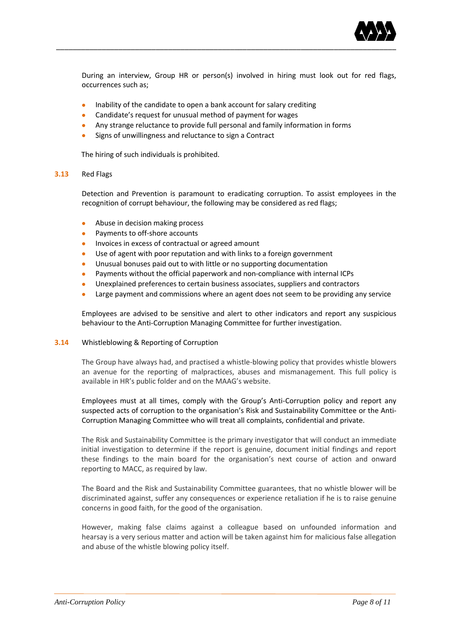

During an interview, Group HR or person(s) involved in hiring must look out for red flags, occurrences such as;

- Inability of the candidate to open a bank account for salary crediting
- Candidate's request for unusual method of payment for wages
- Any strange reluctance to provide full personal and family information in forms
- Signs of unwillingness and reluctance to sign a Contract

The hiring of such individuals is prohibited.

#### **3.13** Red Flags

Detection and Prevention is paramount to eradicating corruption. To assist employees in the recognition of corrupt behaviour, the following may be considered as red flags;

- Abuse in decision making process
- Payments to off-shore accounts
- Invoices in excess of contractual or agreed amount
- Use of agent with poor reputation and with links to a foreign government
- Unusual bonuses paid out to with little or no supporting documentation
- Payments without the official paperwork and non-compliance with internal ICPs
- Unexplained preferences to certain business associates, suppliers and contractors
- Large payment and commissions where an agent does not seem to be providing any service

Employees are advised to be sensitive and alert to other indicators and report any suspicious behaviour to the Anti-Corruption Managing Committee for further investigation.

#### **3.14** Whistleblowing & Reporting of Corruption

The Group have always had, and practised a whistle-blowing policy that provides whistle blowers an avenue for the reporting of malpractices, abuses and mismanagement. This full policy is available in HR's public folder and on the MAAG's website.

Employees must at all times, comply with the Group's Anti-Corruption policy and report any suspected acts of corruption to the organisation's Risk and Sustainability Committee or the Anti-Corruption Managing Committee who will treat all complaints, confidential and private.

The Risk and Sustainability Committee is the primary investigator that will conduct an immediate initial investigation to determine if the report is genuine, document initial findings and report these findings to the main board for the organisation's next course of action and onward reporting to MACC, as required by law.

The Board and the Risk and Sustainability Committee guarantees, that no whistle blower will be discriminated against, suffer any consequences or experience retaliation if he is to raise genuine concerns in good faith, for the good of the organisation.

However, making false claims against a colleague based on unfounded information and hearsay is a very serious matter and action will be taken against him for malicious false allegation and abuse of the whistle blowing policy itself.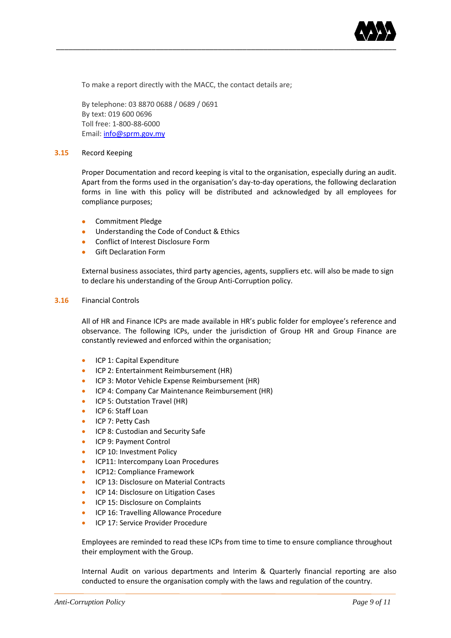

To make a report directly with the MACC, the contact details are;

By telephone: 03 8870 0688 / 0689 / 0691 By text: 019 600 0696 Toll free: 1-800-88-6000 Email[: info@sprm.gov.my](mailto:info@sprm.gov.my)

#### **3.15** Record Keeping

Proper Documentation and record keeping is vital to the organisation, especially during an audit. Apart from the forms used in the organisation's day-to-day operations, the following declaration forms in line with this policy will be distributed and acknowledged by all employees for compliance purposes;

- Commitment Pledge
- Understanding the Code of Conduct & Ethics
- **•** Conflict of Interest Disclosure Form
- Gift Declaration Form

External business associates, third party agencies, agents, suppliers etc. will also be made to sign to declare his understanding of the Group Anti-Corruption policy.

#### **3.16** Financial Controls

All of HR and Finance ICPs are made available in HR's public folder for employee's reference and observance. The following ICPs, under the jurisdiction of Group HR and Group Finance are constantly reviewed and enforced within the organisation;

- **•** ICP 1: Capital Expenditure
- **ICP 2: Entertainment Reimbursement (HR)**
- ICP 3: Motor Vehicle Expense Reimbursement (HR)
- ICP 4: Company Car Maintenance Reimbursement (HR)
- **ICP 5: Outstation Travel (HR)**
- ICP 6: Staff Loan
- ICP 7: Petty Cash
- **ICP 8: Custodian and Security Safe**
- ICP 9: Payment Control
- **ICP 10: Investment Policy**
- **ICP11: Intercompany Loan Procedures**
- ICP12: Compliance Framework
- **ICP 13: Disclosure on Material Contracts**
- ICP 14: Disclosure on Litigation Cases
- ICP 15: Disclosure on Complaints
- ICP 16: Travelling Allowance Procedure
- **ICP 17: Service Provider Procedure**

Employees are reminded to read these ICPs from time to time to ensure compliance throughout their employment with the Group.

Internal Audit on various departments and Interim & Quarterly financial reporting are also conducted to ensure the organisation comply with the laws and regulation of the country.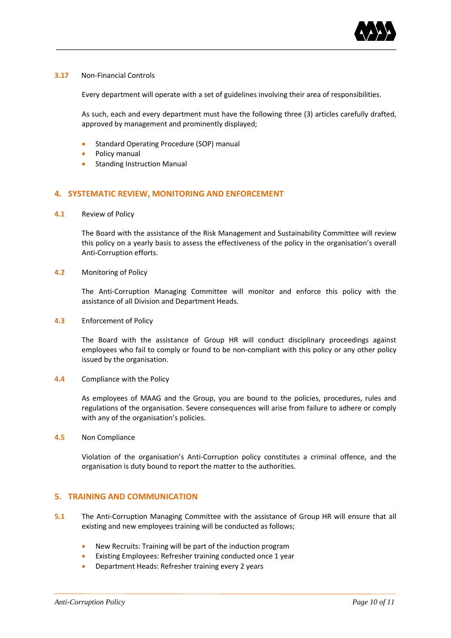

## **3.17** Non-Financial Controls

Every department will operate with a set of guidelines involving their area of responsibilities.

As such, each and every department must have the following three (3) articles carefully drafted, approved by management and prominently displayed;

- **•** Standard Operating Procedure (SOP) manual
- Policy manual
- Standing Instruction Manual

# **4. SYSTEMATIC REVIEW, MONITORING AND ENFORCEMENT**

**4.1** Review of Policy

The Board with the assistance of the Risk Management and Sustainability Committee will review this policy on a yearly basis to assess the effectiveness of the policy in the organisation's overall Anti-Corruption efforts.

#### **4.2** Monitoring of Policy

The Anti-Corruption Managing Committee will monitor and enforce this policy with the assistance of all Division and Department Heads.

**4.3** Enforcement of Policy

The Board with the assistance of Group HR will conduct disciplinary proceedings against employees who fail to comply or found to be non-compliant with this policy or any other policy issued by the organisation.

**4.4** Compliance with the Policy

As employees of MAAG and the Group, you are bound to the policies, procedures, rules and regulations of the organisation. Severe consequences will arise from failure to adhere or comply with any of the organisation's policies.

**4.5** Non Compliance

Violation of the organisation's Anti-Corruption policy constitutes a criminal offence, and the organisation is duty bound to report the matter to the authorities.

# **5. TRAINING AND COMMUNICATION**

- **5.1** The Anti-Corruption Managing Committee with the assistance of Group HR will ensure that all existing and new employees training will be conducted as follows;
	- New Recruits: Training will be part of the induction program
	- Existing Employees: Refresher training conducted once 1 year
	- Department Heads: Refresher training every 2 years